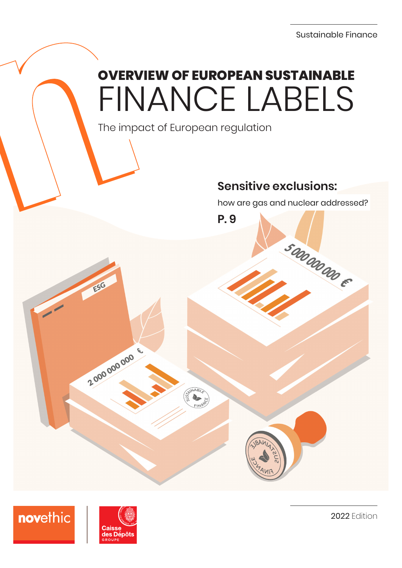## **OVERVIEW OF EUROPEAN SUSTAINABLE** FINANCE LABELS

**P. 9**

The impact of European regulation

## **Sensitive exclusions:**

how are gas and nuclear addressed?

50000000 E



novethic

2000000000 E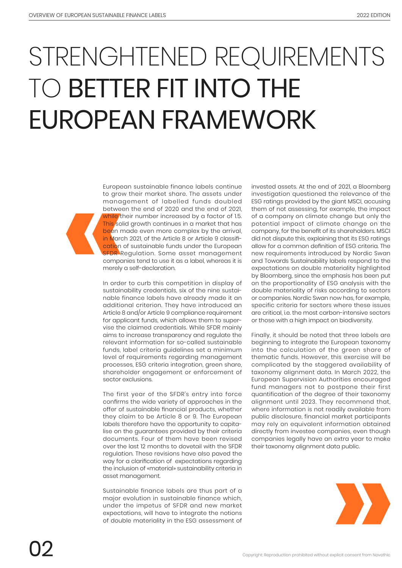## STRENGHTENED REQUIREMENTS TO BETTER FIT INTO THE EUROPEAN FRAMEWORK

European sustainable finance labels continue to grow their market share. The assets under management of labelled funds doubled between the end of 2020 and the end of 2021, while their number increased by a factor of 1.5. This solid growth continues in a market that has been made even more complex by the arrival, in March 2021, of the Article 8 or Article 9 classification of sustainable funds under the European **SFDR** Regulation. Some asset management companies tend to use it as a label, whereas it is merely a self-declaration.

In order to curb this competition in display of sustainability credentials, six of the nine sustainable finance labels have already made it an additional criterion. They have introduced an Article 8 and/or Article 9 compliance requirement for applicant funds, which allows them to supervise the claimed credentials. While SFDR mainly aims to increase transparency and regulate the relevant information for so-called sustainable funds, label criteria guidelines set a minimum level of requirements regarding management processes, ESG criteria integration, green share, shareholder engagement or enforcement of sector exclusions.

The first year of the SFDR's entry into force confirms the wide variety of approaches in the offer of sustainable financial products, whether they claim to be Article 8 or 9. The European labels therefore have the opportunity to capitalise on the guarantees provided by their criteria documents. Four of them have been revised over the last 12 months to dovetail with the SFDR regulation. These revisions have also paved the way for a clarification of expectations regarding the inclusion of «material» sustainability criteria in asset management.

Sustainable finance labels are thus part of a major evolution in sustainable finance which, under the impetus of SFDR and new market expectations, will have to integrate the notions of double materiality in the ESG assessment of

invested assets. At the end of 2021, a Bloomberg investigation questioned the relevance of the ESG ratings provided by the giant MSCI, accusing them of not assessing, for example, the impact of a company on climate change but only the potential impact of climate change on the company, for the benefit of its shareholders. MSCI did not dispute this, explaining that its ESG ratings allow for a common definition of ESG criteria. The new requirements introduced by Nordic Swan and Towards Sustainability labels respond to the expectations on double materiality highlighted by Bloomberg, since the emphasis has been put on the proportionality of ESG analysis with the double materiality of risks according to sectors or companies. Nordic Swan now has, for example, specific criteria for sectors where these issues are critical, i.e. the most carbon-intensive sectors or those with a high impact on biodiversity.

Finally, it should be noted that three labels are beginning to integrate the European taxonomy into the calculation of the green share of thematic funds. However, this exercise will be complicated by the staggered availability of taxonomy alignment data. In March 2022, the European Supervision Authorities encouraged fund managers not to postpone their first quantification of the degree of their taxonomy alignment until 2023. They recommend that, where information is not readily available from public disclosure, financial market participants may rely on equivalent information obtained directly from investee companies, even though companies legally have an extra year to make their taxonomy alignment data public.

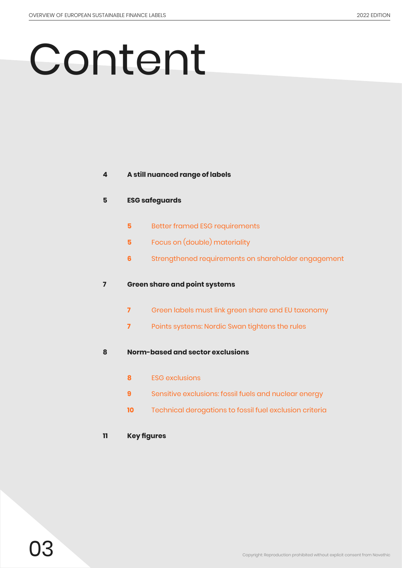# Content

#### **A still nuanced range of labels**

#### **ESG safeguards**

- Better framed ESG requirements
- Focus on (double) materiality
- Strengthened requirements on shareholder engagement

#### **Green share and point systems**

- Green labels must link green share and EU taxonomy
- Points systems: Nordic Swan tightens the rules

#### **Norm-based and sector exclusions**

- ESG exclusions
- Sensitive exclusions: fossil fuels and nuclear energy
- Technical derogations to fossil fuel exclusion criteria

#### **Key figures**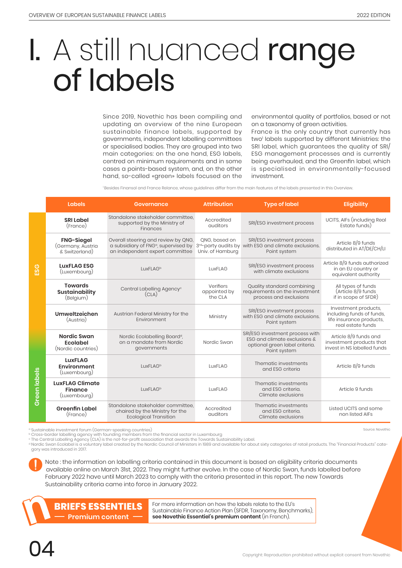Source: Novethic

## I. A still nuanced range of labels

Since 2019, Novethic has been compiling and updating an overview of the nine European sustainable finance labels, supported by governments, independent labelling committees or specialised bodies. They are grouped into two main categories: on the one hand, ESG labels, centred on minimum requirements and in some cases a points-based system, and, on the other hand, so-called «green» labels focused on the

environmental quality of portfolios, based or not on a taxonomy of green activities.

France is the only country that currently has two' labels supported by different Ministries: the SRI label, which guarantees the quality of SRI/ ESG management processes and is currently being overhauled, and the Greenfin label, which is specialised in environmentally-focused investment.

<sup>1</sup> Besides Finansol and France Relance, whose guidelines differ from the main features of the labels presented in this Overview.

|              | Labels                                                                                                 | <b>Governance</b>                                                                                                          | <b>Attribution</b>                   | <b>Type of label</b>                                                                                              | <b>Eligibility</b>                                                                                 |
|--------------|--------------------------------------------------------------------------------------------------------|----------------------------------------------------------------------------------------------------------------------------|--------------------------------------|-------------------------------------------------------------------------------------------------------------------|----------------------------------------------------------------------------------------------------|
|              | <b>SRI Label</b><br>(France)                                                                           | Standalone stakeholder committee.<br>supported by the Ministry of<br>Finances                                              |                                      | SRI/ESG investment process                                                                                        | UCITS, AIFs (including Real<br>Estate funds)                                                       |
| ESG          | <b>FNG-Siegel</b><br>(Germany, Austria<br>& Switzerland)                                               | Overall steering and review by QNG,<br>a subsidiary of FNG <sup>a</sup> , supervised by<br>an independent expert committee | ONG, based on<br>Univ. of Hamburg    | SRI/ESG investment process<br>3rd-party audits by with ESG and climate exclusions.<br>Point system                | Article 8/9 funds<br>distributed in AT/DE/CH/LI                                                    |
|              | <b>LuxFLAG ESG</b><br>LuxFLAG <sup>b</sup><br>(Luxembourg)                                             |                                                                                                                            | LuxFLAG                              | SRI/ESG investment process<br>with climate exclusions                                                             | Article 8/9 funds authorized<br>in an EU country or<br>equivalent authority                        |
|              | <b>Towards</b><br>Central Labelling Agency <sup>c</sup><br><b>Sustainability</b><br>(CLA)<br>(Belgium) |                                                                                                                            | Verifiers<br>appointed by<br>the CLA | Quality standard combining<br>requirements on the investment<br>process and exclusions                            | All types of funds<br>(Article 8/9 funds<br>if in scope of SFDR)                                   |
|              | Umweltzeichen<br>(Austria)                                                                             | Austrian Federal Ministry for the<br>Environment                                                                           | Ministry                             | SRI/ESG investment process<br>with ESG and climate exclusions.<br>Point system                                    | Investment products,<br>including funds of funds,<br>life insurance products,<br>real estate funds |
|              | <b>Nordic Swan</b><br><b>Ecolabel</b><br>(Nordic countries)                                            | Nordic Ecolabelling Board <sup>d</sup> ,<br>on a mandate from Nordic<br>governments                                        | Nordic Swan                          | SRI/ESG investment process with<br>ESG and climate exclusions &<br>optional green label criteria.<br>Point system | Article 8/9 funds and<br>investment products that<br>invest in NS labelled funds                   |
| Green labels | <b>LuxFLAG</b><br>Environment<br>(Luxembourg)                                                          | LuxFLAG <sup>b</sup>                                                                                                       |                                      | Thematic investments<br>and ESG criteria                                                                          | Article 8/9 funds                                                                                  |
|              | <b>LuxFLAG Climate</b><br><b>Finance</b><br>(Luxembourg)                                               | LuxFLAG <sup>b</sup>                                                                                                       | LuxFLAG                              | Thematic investments<br>and ESG criteria.<br>Climate exclusions                                                   | Article 9 funds                                                                                    |
|              | <b>Greenfin Label</b><br>(France)                                                                      | Standalone stakeholder committee<br>chaired by the Ministry for the<br><b>Ecological Transition</b>                        | Accredited<br>auditors               | Thematic investments<br>and ESG criteria.<br>Climate exclusions                                                   | Listed UCITS and some<br>non listed AIFs                                                           |

a Sustainable investment forum (German-speaking countries)

<sup>b</sup> Cross-border labelling agency with founding members from the financial sector in Luxembourg<br><sup>c</sup> The Central Labelling Agency (CLA) is the not-for-profit association that awards the Towards Sustainability Label

<sup>d</sup> Nordic Swan Ecolabel is a voluntary label created by the Nordic Council of Ministers in 1989 and available for about sixty categories of retail products. The "Financial Products" category was introduced in 2017.

 Note : the information on labelling criteria contained in this document is based on eligibility criteria documents available online on March 31st, 2022. They might further evolve. In the case of Nordic Swan, funds labelled before February 2022 have until March 2023 to comply with the criteria presented in this report. The new Towards Sustainability criteria came into force in January 2022.



**BRIEFS ESSENTIELS** [For more information on how the labels relate to the EU's](https://lessentiel.novethic.fr/blog/briefs-essentiel-12/post/les-labels-de-finance-durable-face-a-la-reglementation-europeenne-894http://) substantial Sustainable Finance Action Plan (SFDR, Taxonomy, Benchmarks), **Premium content [see Novethic Essentiel's premium content](https://lessentiel.novethic.fr/blog/briefs-essentiel-12/post/les-labels-de-finance-durable-face-a-la-reglementation-europeenne-894http://)** (in French).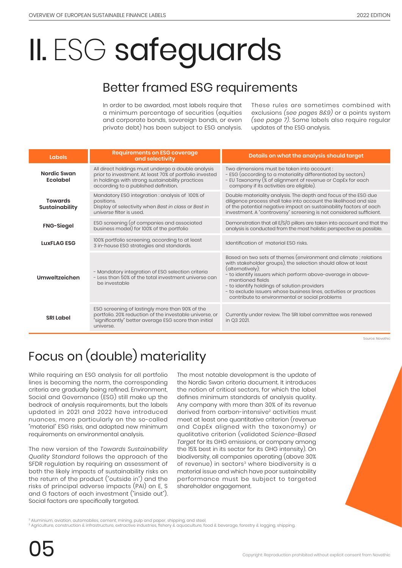# II. ESG safeguards

## Better framed ESG requirements

In order to be awarded, most labels require that a minimum percentage of securities (equities and corporate bonds, sovereign bonds, or even private debt) has been subject to ESG analysis. These rules are sometimes combined with exclusions *(see pages 8&9)* or a points system *(see page 7)*. Some labels also require regular updates of the ESG analysis.

| <b>Labels</b>                           | <b>Requirements on ESG coverage</b><br>and selectivity                                                                                                                                                    | Details on what the analysis should target                                                                                                                                                                                                                                                                                                                                                                      |  |  |
|-----------------------------------------|-----------------------------------------------------------------------------------------------------------------------------------------------------------------------------------------------------------|-----------------------------------------------------------------------------------------------------------------------------------------------------------------------------------------------------------------------------------------------------------------------------------------------------------------------------------------------------------------------------------------------------------------|--|--|
| Nordic Swan<br><b>Ecolabel</b>          | All direct holdings must undergo a double analysis<br>prior to investment. At least 70% of portfolio invested<br>in holdings with strong sustainability practices<br>according to a published definition. | Two dimensions must be taken into account:<br>- ESG (according to a materiality differentiated by sectors)<br>- EU Taxonomy (% of alignment of revenue or CapEx for each<br>company if its activities are eligible).                                                                                                                                                                                            |  |  |
| <b>Towards</b><br><b>Sustainability</b> | Mandatory ESG integration : analysis of 100% of<br>positions.<br>Display of selectivity when Best in class or Best in<br>universe filter is used.                                                         | Double materiality analysis. The depth and focus of the ESG due<br>diligence process shall take into account the likelihood and size<br>of the potential negative impact on sustainability factors of each<br>investment. A "controversy" screening is not considered sufficient.                                                                                                                               |  |  |
| <b>FNG-Siegel</b>                       | ESG screening (of companies and associated<br>business model) for 100% of the portfolio                                                                                                                   | Demonstration that all E/S/G pillars are taken into account and that the<br>analysis is conducted from the most holistic perspective as possible.                                                                                                                                                                                                                                                               |  |  |
| <b>LuxFLAG ESG</b>                      | 100% portfolio screening, according to at least<br>3 in-house ESG strategies and standards.                                                                                                               | Identification of material ESG risks.                                                                                                                                                                                                                                                                                                                                                                           |  |  |
| Umweltzeichen                           | - Mandatory integration of ESG selection criteria<br>- Less than 50% of the total investment universe can<br>be investable                                                                                | Based on two sets of themes (environment and climate; relations<br>with stakeholder groups), the selection should allow at least<br>(alternatively):<br>- to identify issuers which perform above-average in above-<br>mentioned fields<br>- to identify holdings of solution providers<br>- to exclude issuers whose business lines, activities or practices<br>contribute to environmental or social problems |  |  |
| <b>SRI Label</b>                        | ESG screening of lastingly more than 90% of the<br>portfolio. 20% reduction of the investable universe, or<br>"significantly" better average ESG score than initial<br>universe.                          | Currently under review. The SRI label committee was renewed<br>in Q3 2021.                                                                                                                                                                                                                                                                                                                                      |  |  |

Source: Novethic

## Focus on (double) materiality

While requiring an ESG analysis for all portfolio lines is becoming the norm, the corresponding criteria are gradually being refined. Environment, Social and Governance (ESG) still make up the bedrock of analysis requirements, but the labels updated in 2021 and 2022 have introduced nuances, more particularly on the so-called "material" ESG risks, and adopted new minimum requirements on environmental analysis.

The new version of the *Towards Sustainability Quality Standard* follows the approach of the SFDR regulation by requiring an assessment of both the likely impacts of sustainability risks on the return of the product ("outside in") and the risks of principal adverse impacts (PAI) on E, S and G factors of each investment ("inside out"). Social factors are specifically targeted.

The most notable development is the update of the Nordic Swan criteria document. It introduces the notion of critical sectors, for which the label defines minimum standards of analysis quality. Any company with more than 30% of its revenue derived from carbon-intensive2 activities must meet at least one quantitative criterion (revenue and CapEx aligned with the taxonomy) or qualitative criterion (validated *Science-Based Target* for its GHG emissions, or company among the 15% best in its sector for its GHG intensity). On biodiversity, all companies operating (above 30% of revenue) in sectors<sup>3</sup> where biodiversity is a material issue and which have poor sustainability performance must be subject to targeted shareholder engagement.

2 Aluminium, aviation, automobiles, cement, mining, pulp and paper, shipping, and steel,

 $^3$  Agriculture, construction & infrastructure, extractive industries, fishery & aquaculture, food & beverage, forestry & logging, shipping.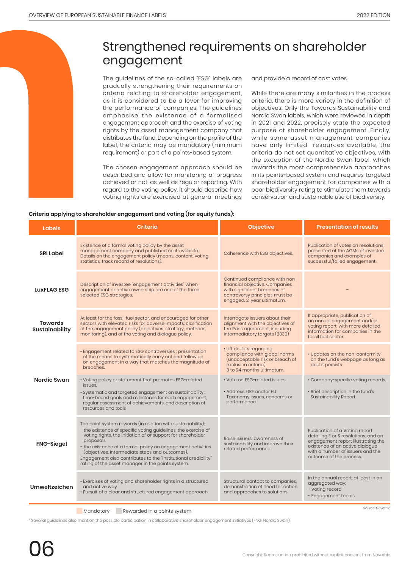### Strengthened requirements on shareholder engagement

The guidelines of the so-called "ESG" labels are gradually strengthening their requirements on criteria relating to shareholder engagement, as it is considered to be a lever for improving the performance of companies. The guidelines emphasise the existence of a formalised engagement approach and the exercise of voting rights by the asset management company that distributes the fund. Depending on the profile of the label, the criteria may be mandatory (minimum requirement) or part of a points-based system.

The chosen engagement approach should be described and allow for monitoring of progress achieved or not, as well as regular reporting. With regard to the voting policy, it should describe how voting rights are exercised at general meetings

and provide a record of cast votes.

While there are many similarities in the process criteria, there is more variety in the definition of objectives. Only the Towards Sustainability and Nordic Swan labels, which were reviewed in depth in 2021 and 2022, precisely state the expected purpose of shareholder engagement. Finally, while some asset management companies have only limited resources available, the criteria do not set quantitative objectives, with the exception of the Nordic Swan label, which rewards the most comprehensive approaches in its points-based system and requires targeted shareholder engagement for companies with a poor biodiversity rating to stimulate them towards conservation and sustainable use of biodiversity.

#### **Criteria applying to shareholder engagement and voting (for equity funds):**

| Labels                                  | Criteria                                                                                                                                                                                                                                                                                                                                                                                                                                          | <b>Objective</b>                                                                                                                                                 | <b>Presentation of results</b>                                                                                                                                                                                 |
|-----------------------------------------|---------------------------------------------------------------------------------------------------------------------------------------------------------------------------------------------------------------------------------------------------------------------------------------------------------------------------------------------------------------------------------------------------------------------------------------------------|------------------------------------------------------------------------------------------------------------------------------------------------------------------|----------------------------------------------------------------------------------------------------------------------------------------------------------------------------------------------------------------|
| <b>SRI Label</b>                        | Existence of a formal voting policy by the asset<br>management company and published on its website.<br>Details on the engagement policy (means, content, voting<br>statistics, track record of resolutions).                                                                                                                                                                                                                                     | Coherence with ESG objectives.                                                                                                                                   | Publication of votes on resolutions<br>presented at the AGMs of investee<br>companies and examples of<br>successful/failed engagement.                                                                         |
| <b>LUXFLAG ESG</b>                      | Description of investee "engagement activities" when<br>engagement or active ownership are one of the three<br>selected ESG strategies.                                                                                                                                                                                                                                                                                                           | Continued compliance with non-<br>financial objective. Companies<br>with significant breaches of<br>controversy principles must be<br>engaged. 2-year ultimatum. |                                                                                                                                                                                                                |
| <b>Towards</b><br><b>Sustainability</b> | At least for the fossil fuel sector, and encouraged for other<br>sectors with elevated risks for adverse impacts: clarification<br>of the engagement policy (objectives, strategy, methods,<br>monitoring), and of the voting and dialogue policy.                                                                                                                                                                                                | Interrogate issuers about their<br>alignment with the objectives of<br>the Paris agreement, including<br>intermediatory targets (2030)                           | If appropriate, publication of<br>an annual engagement and/or<br>voting report, with more detailed<br>information for companies in the<br>fossil fuel sector.                                                  |
|                                         | • Engagement related to ESG controversies : presentation<br>of the means to systematically carry out and follow up<br>on engagement in a way that matches the magnitude of<br>breaches.                                                                                                                                                                                                                                                           | • Lift doubts regarding<br>compliance with global norms<br>(unacceptable risk or breach of<br>exclusion criteria).<br>3 to 24 months ultimatum.                  | • Updates on the non-conformity<br>on the fund's webpage as long as<br>doubt persists.                                                                                                                         |
| Nordic Swan                             | • Voting policy or statement that promotes ESG-related<br>issues.<br>• Systematic and targeted engagement on sustainability :<br>time-bound goals and milestones for each engagement,<br>regular assessment of achievements, and description of<br>resources and tools                                                                                                                                                                            | • Vote on ESG-related issues<br>• Address ESG and/or EU<br>Taxonomy issues, concerns or<br>performance                                                           | • Company-specific voting records.<br>· Brief description In the fund's<br><b>Sustainability Report</b>                                                                                                        |
| <b>FNG-Siegel</b>                       | The point system rewards (in relation with sustainability):<br>- the existence of specific voting guidelines, the exercise of<br>voting rights, the initiation of or support for shareholder<br>proposals<br>- the existence of a formal policy on engagement activities<br>(objectives, intermediate steps and outcomes).<br>Engagement also contributes to the "institutional credibility"<br>rating of the asset manager in the points system. | Raise issuers' awareness of<br>sustainability and improve their<br>related performance.                                                                          | Publication of a Voting report<br>detailing E or S resolutions, and an<br>engagement report illustrating the<br>existence of an active dialogue<br>with a number of issuers and the<br>outcome of the process. |
| Umweltzeichen                           | • Exercises of voting and shareholder rights in a structured<br>and active way<br>. Pursuit of a clear and structured engagement approach.                                                                                                                                                                                                                                                                                                        | Structural contact to companies.<br>demonstration of need for action<br>and approaches to solutions.                                                             | In the annual report, at least in an<br>aggregated way:<br>- Voting record<br>- Engagement topics                                                                                                              |
|                                         | Mandatory<br>Rewarded in a points system                                                                                                                                                                                                                                                                                                                                                                                                          |                                                                                                                                                                  | Source: Novethic                                                                                                                                                                                               |

<sup>4</sup> Several guidelines also mention the possible participation in collaborative shareholder engagement initiatives (FNG, Nordic Swan).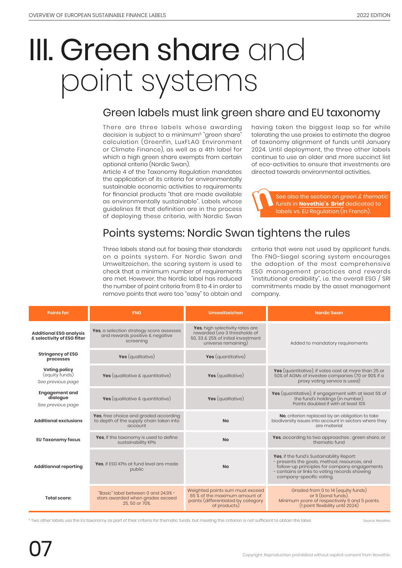## III. Green share and point systems

### Green labels must link green share and EU taxonomy

There are three labels whose awarding decision is subject to a minimum<sup>5</sup> "green share" calculation (Greenfin, LuxFLAG Environment or Climate Finance), as well as a 4th label for which a high green share exempts from certain optional criteria (Nordic Swan).

Article 4 of the Taxonomy Regulation mandates the application of its criteria for environmentally sustainable economic activities to requirements for financial products "that are made available as environmentally sustainable". Labels whose guidelines fit that definition are in the process of deploying these criteria, with Nordic Swan

having taken the biggest leap so far while tolerating the use proxies to estimate the degree of taxonomy alignment of funds until January 2024. Until deployment, the three other labels continue to use an older and more succinct list of eco-activities to ensure that investments are directed towards environmental activities.

See also the section on *green & thematic funds* in **Novethic's Brief** dedicated to labels vs. EU Regulation (in French).

### Points systems: Nordic Swan tightens the rules

Three labels stand out for basing their standards on a points system. For Nordic Swan and Umweltzeichen, the scoring system is used to check that a minimum number of requirements are met. However, the Nordic label has reduced the number of point criteria from 8 to 4 in order to remove points that were too "easy" to obtain and

criteria that were not used by applicant funds. The FNG-Siegel scoring system encourages the adoption of the most comprehensive ESG management practices and rewards "institutional credibility", i.e. the overall ESG / SRI commitments made by the asset management company.

| <b>Points for:</b>                                                                                                                                                                                                                         | <b>FNG</b>                                                                                               | <b>Umweltzeichen</b>                                                                                                                           | <b>Nordic Swan</b>                                                                                                                                                                                                     |
|--------------------------------------------------------------------------------------------------------------------------------------------------------------------------------------------------------------------------------------------|----------------------------------------------------------------------------------------------------------|------------------------------------------------------------------------------------------------------------------------------------------------|------------------------------------------------------------------------------------------------------------------------------------------------------------------------------------------------------------------------|
| <b>Additional ESG analysis</b><br>& selectivity of ESG filter                                                                                                                                                                              | Yes, a selection strategy score assesses<br>and rewards positive & negative<br>screening                 | Yes, high selectivity rates are<br>rewarded (via 3 thresholds of<br>50, 33 & 25% of initial investment<br>universe remaining)                  | Added to mandatory requirements                                                                                                                                                                                        |
| <b>Stringency of ESG</b><br>processes                                                                                                                                                                                                      | Yes (qualitative)                                                                                        | Yes (quantitative)                                                                                                                             |                                                                                                                                                                                                                        |
| <b>Voting policy</b><br>(equity funds)<br>See previous page                                                                                                                                                                                | Yes (qualitative & quantitative)                                                                         | Yes (qualitative)                                                                                                                              | Yes (quantitative), if votes cast at more than 25 or<br>50% of AGMs of investee companies (70 or 90% if a<br>proxy voting service is used)                                                                             |
| <b>Engagement and</b><br>dialogue<br>See previous page                                                                                                                                                                                     | Yes (qualitative & quantitative)                                                                         | Yes (qualitative)                                                                                                                              | Yes (quantitative), if engagement with at least 5% of<br>the fund's holdings (in number).<br>Points doubled if with at least 10%                                                                                       |
| <b>Additional exclusions</b>                                                                                                                                                                                                               | Yes, free choice and graded according<br>to depth of the supply chain taken into<br><b>No</b><br>account |                                                                                                                                                | No, criterion replaced by an obligation to take<br>biodiversity issues into account in sectors where they<br>are material                                                                                              |
| <b>EU Taxonomy focus</b>                                                                                                                                                                                                                   | Yes, if the taxonomy is used to define<br><b>No</b><br>sustainability KPIs                               |                                                                                                                                                | Yes, according to two approaches : green share, or<br>thematic fund                                                                                                                                                    |
| <b>Additionnal reporting</b>                                                                                                                                                                                                               | Yes, if ESG KPIs at fund level are made<br>public                                                        | <b>No</b>                                                                                                                                      | Yes, if the fund's Sustainability Report:<br>- presents the goals, method, resources, and<br>follow-up principles for company engagements<br>- contains or links to voting records showing<br>company-specific voting. |
| Weighted points sum must exceed<br>"Basic" label between 0 and 24.9% -<br>65 % of the maximum amount of<br><b>Total score:</b><br>stars awarded when grades exceed<br>points (differentiated by category<br>25, 50 or 70%.<br>of products) |                                                                                                          | Graded from 0 to 14 (equity funds)<br>or II (bond funds).<br>Minimum score of respectively 6 and 5 points.<br>(1 point flexibility until 2024) |                                                                                                                                                                                                                        |

<sup>5</sup> Two other labels use the EU taxonomy as part of their criteria for thematic funds, but meeting this criterion is not sufficient to obtain the label

Source: Novethic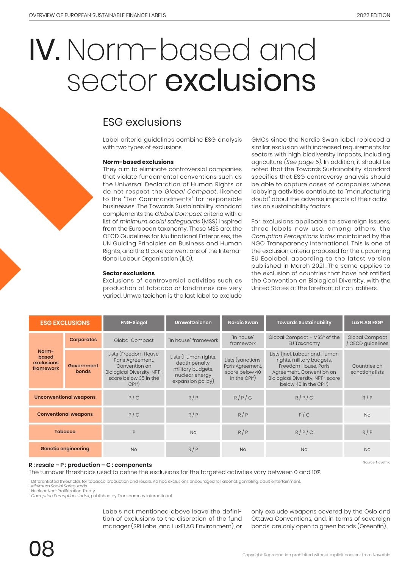## IV. Norm-based and sector exclusions

#### ESG exclusions

Label criteria guidelines combine ESG analysis with two types of exclusions.

#### **Norm-based exclusions**

They aim to eliminate controversial companies that violate fundamental conventions such as the Universal Declaration of Human Rights or do not respect the *Global Compact*, likened to the "Ten Commandments" for responsible businesses. The Towards Sustainability standard complements the *Global Compact* criteria with a list of *minimum social safeguards* (MSS) inspired from the European taxonomy. These MSS are: the OECD Guidelines for Multinational Enterprises, the UN Guiding Principles on Business and Human Rights, and the 8 core conventions of the International Labour Organisation (ILO).

#### **Sector exclusions**

Exclusions of controversial activities such as production of tobacco or landmines are very varied. Umweltzeichen is the last label to exclude

GMOs since the Nordic Swan label replaced a similar exclusion with increased requirements for sectors with high biodiversity impacts, including agriculture *(See page 5)*. In addition, it should be noted that the Towards Sustainability standard specifies that ESG controversy analysis should be able to capture cases of companies whose lobbying activities contribute to "manufacturing doubt" about the adverse impacts of their activities on sustainability factors.

For exclusions applicable to sovereign issuers, three labels now use, among others, the *Corruption Perceptions Index* maintained by the NGO Transparency International. This is one of the exclusion criteria proposed for the upcoming EU Ecolabel, according to the latest version published in March 2021. The same applies to the exclusion of countries that have not ratified the Convention on Biological Diversity, with the United States at the forefront of non-ratifiers.

| <b>ESG EXCLUSIONS</b>                     |                            | <b>FNG-Siegel</b>                                                                                                                                   | Umweltzeichen                                                                                      | <b>Nordic Swan</b>                                                                          | <b>Towards Sustainability</b>                                                                                                                                                                          | LuxFLAG ESG <sup>a</sup>          |
|-------------------------------------------|----------------------------|-----------------------------------------------------------------------------------------------------------------------------------------------------|----------------------------------------------------------------------------------------------------|---------------------------------------------------------------------------------------------|--------------------------------------------------------------------------------------------------------------------------------------------------------------------------------------------------------|-----------------------------------|
|                                           | <b>Corporates</b>          | Global Compact                                                                                                                                      | "In house" framework                                                                               | "In house"<br>framework                                                                     | Global Compact + MSS <sup>b</sup> of the<br>EU Taxonomy                                                                                                                                                | Global Compact<br>OECD guidelines |
| Norm-<br>based<br>exclusions<br>framework | Government<br><b>bonds</b> | Lists (Freedom House,<br>Paris Agreement,<br>Convention on<br>Biological Diversity, NPT <sup>c</sup> ,<br>score below 35 in the<br>CPI <sup>d</sup> | Lists (Human rights,<br>death penalty,<br>military budgets,<br>nuclear energy<br>expansion policy) | Lists (sanctions.<br>Paris Agreement,<br>score below 40<br>in the CP $\vert$ <sup>d</sup> ) | Lists (incl. Labour and Human<br>rights, military budgets,<br>Freedom House, Paris<br>Agreement, Convention on<br>Biological Diversity, NPT <sup>c</sup> , score<br>below 40 in the CPI <sup>d</sup> ) | Countries on<br>sanctions lists   |
| <b>Unconventional weapons</b>             |                            | P/C                                                                                                                                                 | R/P                                                                                                | R/P/C                                                                                       | R/P/C                                                                                                                                                                                                  | R/P                               |
| <b>Conventional weapons</b>               |                            | P/C                                                                                                                                                 | R/P                                                                                                | R/P                                                                                         | P/C                                                                                                                                                                                                    | <b>No</b>                         |
| <b>Tobacco</b>                            |                            | P                                                                                                                                                   | <b>No</b>                                                                                          | R/P                                                                                         | R/P/C                                                                                                                                                                                                  | R/P                               |
| <b>Genetic engineering</b>                |                            | <b>No</b>                                                                                                                                           | R/P                                                                                                | <b>No</b>                                                                                   | <b>No</b>                                                                                                                                                                                              | <b>No</b>                         |

#### **R : resale – P : production – C : components**

The turnover thresholds used to define the exclusions for the targeted activities vary between 0 and 10%.

a Differentiated thresholds for tobacco production and resale. Ad hoc exclusions encouraged for alcohol, gambling, adult entertainment.

<sup>b</sup> *Minimum Social Safeguards* c Nuclear Non-Proliferation Treaty

<sup>d</sup> *Corruption Perceptions Index*, published by Transparency International

Labels not mentioned above leave the definition of exclusions to the discretion of the fund manager (SRI Label and LuxFLAG Environment), or

only exclude weapons covered by the Oslo and Ottawa Conventions, and, in terms of sovereign bonds, are only open to green bonds (Greenfin).

Source: Novethic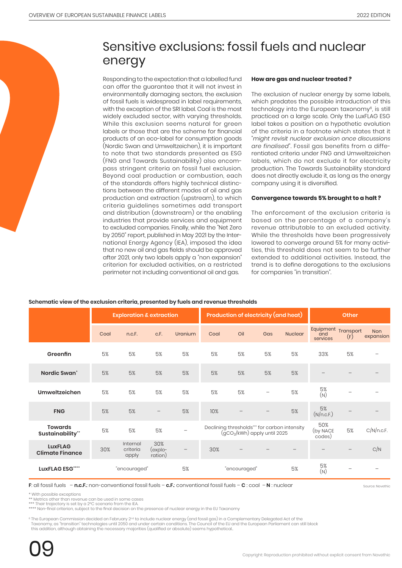## Sensitive exclusions: fossil fuels and nuclear energy

Responding to the expectation that a labelled fund can offer the guarantee that it will not invest in environmentally damaging sectors, the exclusion of fossil fuels is widespread in label requirements, with the exception of the SRI label. Coal is the most widely excluded sector, with varying thresholds. While this exclusion seems natural for green labels or those that are the scheme for financial products of an eco-label for consumption goods (Nordic Swan and Umweltzeichen), it is important to note that two standards presented as ESG (FNG and Towards Sustainability) also encompass stringent criteria on fossil fuel exclusion. Beyond coal production or combustion, each of the standards offers highly technical distinctions between the different modes of oil and gas production and extraction (upstream), to which criteria guidelines sometimes add transport and distribution (downstream) or the enabling industries that provide services and equipment to excluded companies. Finally, while the "Net Zero by 2050" report, published in May 2021 by the International Energy Agency (IEA), imposed the idea that no new oil and gas fields should be approved after 2021, only two labels apply a "non expansion" criterion for excluded activities, on a restricted perimeter not including conventional oil and gas.

#### **How are gas and nuclear treated ?**

The exclusion of nuclear energy by some labels, which predates the possible introduction of this technology into the European taxonomy<sup>6</sup>, is still practiced on a large scale. Only the LuxFLAG ESG label takes a position on a hypothetic evolution of the criteria in a footnote which states that it "*might revisit nuclear exclusion once discussions are finalised*". Fossil gas benefits from a differentiated criteria under FNG and Umweltzeichen labels, which do not exclude it for electricity production. The Towards Sustainability standard does not directly exclude it, as long as the energy company using it is diversified.

#### **Convergence towards 5% brought to a halt ?**

The enforcement of the exclusion criteria is based on the percentage of a company's revenue attributable to an excluded activity. While the thresholds have been progressively lowered to converge around 5% for many activities, this threshold does not seem to be further extended to additional activities. Instead, the trend is to define derogations to the exclusions for companies "in transition".

#### **Schematic view of the exclusion criteria, presented by fuels and revenue thresholds**

|                                          | <b>Exploration &amp; extraction</b> |                               |                           | <b>Production of electricity (and heat)</b> |      |                                                                             | <b>Other</b>             |                |                                        |     |                         |
|------------------------------------------|-------------------------------------|-------------------------------|---------------------------|---------------------------------------------|------|-----------------------------------------------------------------------------|--------------------------|----------------|----------------------------------------|-----|-------------------------|
|                                          | Coal                                | n.c.F.                        | c.F.                      | Uranium                                     | Coal | Oil                                                                         | Gas                      | <b>Nuclear</b> | Equipment Transport<br>and<br>services | (F) | <b>Non</b><br>expansion |
| Greenfin                                 | 5%                                  | 5%                            | 5%                        | 5%                                          | 5%   | 5%                                                                          | 5%                       | 5%             | 33%                                    | 5%  |                         |
| Nordic Swan'                             | 5%                                  | 5%                            | 5%                        | 5%                                          | 5%   | 5%                                                                          | 5%                       | 5%             |                                        |     |                         |
| Umweltzeichen                            | 5%                                  | 5%                            | 5%                        | 5%                                          | 5%   | 5%                                                                          | $\overline{\phantom{0}}$ | 5%             | $5\%$<br>(N)                           |     |                         |
| <b>FNG</b>                               | 5%                                  | 5%                            | $\qquad \qquad -$         | 5%                                          | 10%  |                                                                             |                          | 5%             | 5%<br>(N/n.c.F.)                       |     |                         |
| <b>Towards</b><br>Sustainability"        | 5%                                  | 5%                            | 5%                        |                                             |      | Declining thresholds*** for carbon intensity<br>(gCO2/kWh) apply until 2025 |                          |                | 50%<br>(by NACE<br>codes)              | 5%  | C/N/n.c.F.              |
| <b>LuxFLAG</b><br><b>Climate Finance</b> | 30%                                 | Internal<br>criteria<br>apply | 30%<br>(explo-<br>ration) |                                             | 30%  |                                                                             |                          |                |                                        |     | C/N                     |
| LuxFLAG ESG""                            |                                     | "encouraged"                  |                           | 5%                                          |      | "encouraged"                                                                |                          | 5%             | 5%<br>(N)                              |     |                         |

**F**: all fossil fuels – **n.c.F.**: non-conventional fossil fuels – **c.F.**: conventional fossil fuels – **C** : coal – **N** : nuclear

Source: Novethic

\* With possible exceptions

\*\* Metrics other than revenue can be used in some cases \*\*\* Their trajectory is set by a 2°C scenario from the IEA.

\*\*\*\* Non-final criterion, subject to the final decision on the presence of nuclear energy in the EU Taxonomy

<sup>6</sup> The European Commission decided on February 2<sup>nd</sup> to include nuclear energy (and fossil gas) in a Complementary Delegated Act of the Taxonomy, as "transition" technologies until 2050 and under certain conditions. The Council of the EU and the European Parliament can still block this addition, although obtaining the necessary majorities (qualified or absolute) seems hypothetical..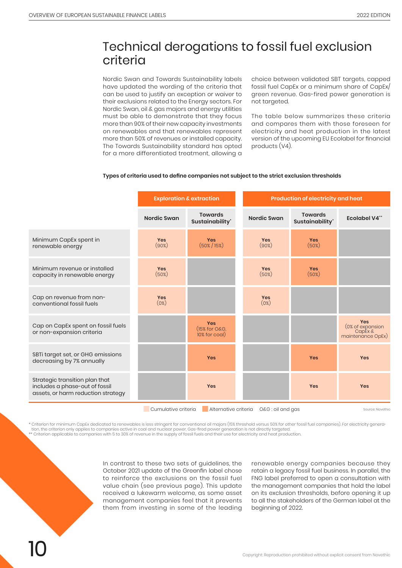### Technical derogations to fossil fuel exclusion criteria

Nordic Swan and Towards Sustainability labels have updated the wording of the criteria that can be used to justify an exception or waiver to their exclusions related to the Energy sectors. For Nordic Swan, oil & gas majors and energy utilities must be able to demonstrate that they focus more than 90% of their new capacity investments on renewables and that renewables represent more than 50% of revenues or installed capacity. The Towards Sustainability standard has opted for a more differentiated treatment, allowing a

choice between validated SBT targets, capped fossil fuel CapEx or a minimum share of CapEx/ green revenue. Gas-fired power generation is not targeted.

The table below summarizes these criteria and compares them with those foreseen for electricity and heat production in the latest version of the upcoming EU Ecolabel for financial products (V4).

#### **Types of criteria used to define companies not subject to the strict exclusion thresholds**

|                                                                                                        | <b>Exploration &amp; extraction</b> |                                              |                    | Production of electricity and heat |                                                            |  |  |
|--------------------------------------------------------------------------------------------------------|-------------------------------------|----------------------------------------------|--------------------|------------------------------------|------------------------------------------------------------|--|--|
|                                                                                                        | <b>Nordic Swan</b>                  | <b>Towards</b><br>Sustainability*            | <b>Nordic Swan</b> | <b>Towards</b><br>Sustainability*  | <b>Ecolabel V4**</b>                                       |  |  |
| Minimum CapEx spent in<br>renewable energy                                                             | Yes<br>(90%)                        | Yes<br>$(50\% / 15\%)$                       | Yes<br>(90%)       | <b>Yes</b><br>(50%)                |                                                            |  |  |
| Minimum revenue or installed<br>capacity in renewable energy                                           | Yes<br>(50%)                        |                                              | Yes<br>(50%)       | <b>Yes</b><br>(50%)                |                                                            |  |  |
| Cap on revenue from non-<br>conventional fossil fuels                                                  | Yes<br>(0%)                         |                                              | Yes<br>(0%)        |                                    |                                                            |  |  |
| Cap on CapEx spent on fossil fuels<br>or non-expansion criteria                                        |                                     | <b>Yes</b><br>(15% for O&G,<br>10% for coal) |                    |                                    | Yes<br>(0% of expansion<br>CapEx $\&$<br>maintenance OpEx) |  |  |
| SBTi target set, or GHG emissions<br>decreasing by 7% annually                                         |                                     | <b>Yes</b>                                   |                    | <b>Yes</b>                         | <b>Yes</b>                                                 |  |  |
| Strategic transition plan that<br>includes a phase-out of fossil<br>assets, or harm reduction strategy |                                     | Yes                                          |                    | Yes                                | <b>Yes</b>                                                 |  |  |
| Cumulative criteria<br>Alternative criteria<br>O&G: oil and gas<br>Source: Novethic                    |                                     |                                              |                    |                                    |                                                            |  |  |

\* Criterion for minimum CapEx dedicated to renewables is less stringent for conventional oil majors (15% threshold versus 50% for other fossil fuel companies). For electricity generation, the criterion only applies to companies active in coal and nuclear power. Gas-fired power generation is not directly targeted.<br>\*\* Criterion applicable to companies with 5 to 30% of revenue in the supply of fossil fue

In contrast to these two sets of guidelines, the October 2021 update of the Greenfin label chose to reinforce the exclusions on the fossil fuel value chain (see previous page). This update received a lukewarm welcome, as some asset management companies feel that it prevents them from investing in some of the leading

renewable energy companies because they retain a legacy fossil fuel business. In parallel, the FNG label preferred to open a consultation with the management companies that hold the label on its exclusion thresholds, before opening it up to all the stakeholders of the German label at the beginning of 2022.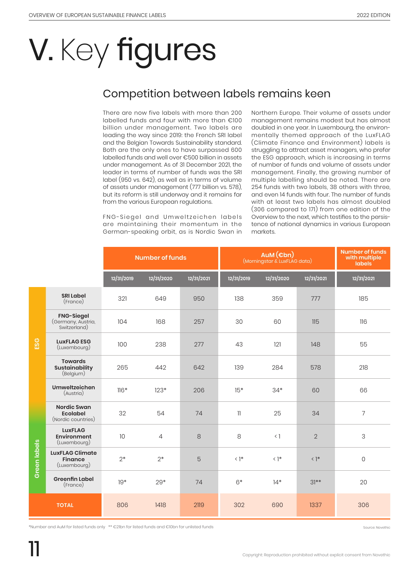# V. Key figures

### Competition between labels remains keen

There are now five labels with more than 200 labelled funds and four with more than €100 billion under management. Two labels are leading the way since 2019: the French SRI label and the Belgian Towards Sustainability standard. Both are the only ones to have surpassed 600 labelled funds and well over €500 billion in assets under management. As of 31 December 2021, the leader in terms of number of funds was the SRI label (950 vs. 642), as well as in terms of volume of assets under management (777 billion vs. 578), but its reform is still underway and it remains far from the various European regulations.

FNG-Siegel and Umweltzeichen labels are maintaining their momentum in the German-speaking orbit, as is Nordic Swan in

Northern Europe. Their volume of assets under management remains modest but has almost doubled in one year. In Luxembourg, the environmentally themed approach of the LuxFLAG (Climate Finance and Environment) labels is struggling to attract asset managers, who prefer the ESG approach, which is increasing in terms of number of funds and volume of assets under management. Finally, the growing number of multiple labelling should be noted. There are 254 funds with two labels, 38 others with three, and even 14 funds with four. The number of funds with at least two labels has almost doubled (306 compared to 171) from one edition of the Overview to the next, which testifies to the persistence of national dynamics in various European markets.

|              |                                                             | <b>Number of funds</b> |                |            | (Morningstar & LuxFLAG data) | <b>Number of funds</b><br>with multiple<br><b>labels</b> |                |                |
|--------------|-------------------------------------------------------------|------------------------|----------------|------------|------------------------------|----------------------------------------------------------|----------------|----------------|
|              |                                                             | 12/31/2019             | 12/31/2020     | 12/31/2021 | 12/31/2019                   | 12/31/2020                                               | 12/31/2021     | 12/31/2021     |
|              | <b>SRI Label</b><br>(France)                                | 321                    | 649            | 950        | 138                          | 359                                                      | 777            | 185            |
| ESG          | <b>FNG-Siegel</b><br>(Germany, Austria,<br>Switzerland)     | 104                    | 168            | 257        | 30                           | 60                                                       | 115            | 116            |
|              | <b>LuxFLAG ESG</b><br>(Luxembourg)                          | 100                    | 238            | 277        | 43                           | 121                                                      | 148            | 55             |
|              | <b>Towards</b><br><b>Sustainability</b><br>(Belgium)        | 265                    | 442            | 642        | 139                          | 284                                                      | 578            | 218            |
|              | Umweltzeichen<br>(Austria)                                  | $116*$                 | $123*$         | 206        | $15*$                        | $34*$                                                    | 60             | 66             |
|              | <b>Nordic Swan</b><br><b>Ecolabel</b><br>(Nordic countries) | 32                     | 54             | 74         | 11                           | 25                                                       | 34             | $\overline{7}$ |
|              | <b>LuxFLAG</b><br>Environment<br>(Luxembourg)               | 10                     | $\overline{4}$ | 8          | 8                            | $\langle$ ]                                              | $\overline{2}$ | 3              |
| Green labels | <b>LuxFLAG Climate</b><br><b>Finance</b><br>(Luxembourg)    | $2*$                   | $2*$           | 5          | $\langle$ ]*                 | $\langle$ ]*                                             | $\langle$ ]*   | 0              |
|              | <b>Greenfin Label</b><br>(France)                           | $19*$                  | $29*$          | 74         | $6*$                         | $14*$                                                    | $31***$        | 20             |
|              | <b>TOTAL</b>                                                | 806                    | 1418           | 2119       | 302                          | 690                                                      | 1337           | 306            |

\*Number and AuM for listed funds only \*\* €21bn for listed funds and €10bn for unlisted funds Source: Novethic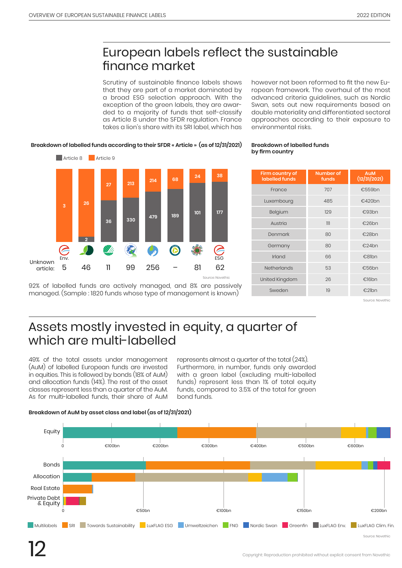## European labels reflect the sustainable finance market

Scrutiny of sustainable finance labels shows that they are part of a market dominated by a broad ESG selection approach. With the exception of the green labels, they are awarded to a majority of funds that self-classify as Article 8 under the SFDR regulation. France takes a lion's share with its SRI label, which has

however not been reformed to fit the new European framework. The overhaul of the most advanced criteria guidelines, such as Nordic Swan, sets out new requirements based on double materiality and differentiated sectoral approaches according to their exposure to environmental risks.

#### **Breakdown of labelled funds according to their SFDR « Article » (as of 12/31/2021)**



92% of labelled funds are actively managed, and 8% are passively managed. (Sample : 1820 funds whose type of management is known)

#### **Breakdown of labelled funds by firm country**

| Firm country of<br>labelled funds | Number of<br>funds | <b>AuM</b><br>(12/31/2021) |
|-----------------------------------|--------------------|----------------------------|
| France                            | 707                | €559bn                     |
| Luxembourg                        | 485                | €420bn                     |
| Belgium                           | 129                | €93bn                      |
| Austria                           | 111                | €26bn                      |
| Denmark                           | 80                 | €28bn                      |
| Germany                           | 80                 | €24bn                      |
| Irland                            | 66                 | €81bn                      |
| <b>Netherlands</b>                | 53                 | €56bn                      |
| United Kingdom                    | 26                 | €16bn                      |
| Sweden                            | 19                 | €21bn                      |

Source: Novethic

## Assets mostly invested in equity, a quarter of which are multi-labelled

49% of the total assets under management (AuM) of labelled European funds are invested in equities. This is followed by bonds (18% of AuM) and allocation funds (14%). The rest of the asset classes represent less than a quarter of the AuM. As for multi-labelled funds, their share of AuM represents almost a quarter of the total (24%). Furthermore, in number, funds only awarded with a green label (excluding multi-labelled funds) represent less than 1% of total equity funds, compared to 3.5% of the total for green bond funds.

#### **Breakdown of AuM by asset class and label (as of 12/31/2021)**